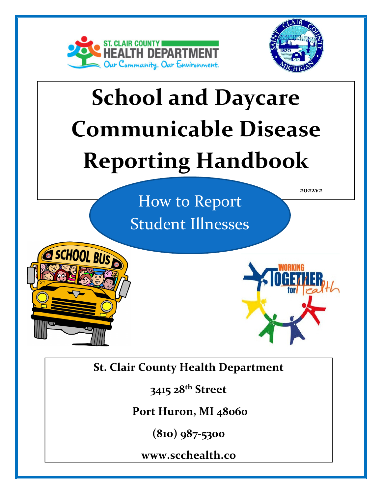

SCHOOL BUS



# School and Daycare Communicable Disease Reporting Handbook

 How to Report Student Illnesses 2022v2

St. Clair County Health Department

3415 28<sup>th</sup> Street

Port Huron, MI 48060

 $\mathcal{N}$  is a Communication Disease? (810) 987-5300

<u>www.scchealth.co</u>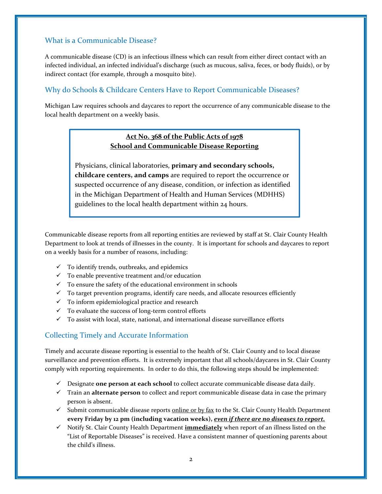## What is a Communicable Disease?

A communicable disease (CD) is an infectious illness which can result from either direct contact with an infected individual, an infected individual's discharge (such as mucous, saliva, feces, or body fluids), or by indirect contact (for example, through a mosquito bite).

## Why do Schools & Childcare Centers Have to Report Communicable Diseases?

Michigan Law requires schools and daycares to report the occurrence of any communicable disease to the local health department on a weekly basis.

## Act No. 368 of the Public Acts of 1978 School and Communicable Disease Reporting

Physicians, clinical laboratories, primary and secondary schools, childcare centers, and camps are required to report the occurrence or suspected occurrence of any disease, condition, or infection as identified in the Michigan Department of Health and Human Services (MDHHS) guidelines to the local health department within 24 hours.

Communicable disease reports from all reporting entities are reviewed by staff at St. Clair County Health Department to look at trends of illnesses in the county. It is important for schools and daycares to report on a weekly basis for a number of reasons, including:

- $\checkmark$  To identify trends, outbreaks, and epidemics
- $\checkmark$  To enable preventive treatment and/or education
- $\checkmark$  To ensure the safety of the educational environment in schools
- $\checkmark$  To target prevention programs, identify care needs, and allocate resources efficiently
- $\checkmark$  To inform epidemiological practice and research
- $\checkmark$  To evaluate the success of long-term control efforts
- $\checkmark$  To assist with local, state, national, and international disease surveillance efforts

### Collecting Timely and Accurate Information

Timely and accurate disease reporting is essential to the health of St. Clair County and to local disease surveillance and prevention efforts. It is extremely important that all schools/daycares in St. Clair County comply with reporting requirements. In order to do this, the following steps should be implemented:

- $\checkmark$  Designate one person at each school to collect accurate communicable disease data daily.
- $\checkmark$  Train an alternate person to collect and report communicable disease data in case the primary person is absent.
- $\checkmark$  Submit communicable disease reports online or by fax to the St. Clair County Health Department every Friday by 12 pm (including vacation weeks), *even if there are no diseases to report.*
- $\checkmark$  Notify St. Clair County Health Department **immediately** when report of an illness listed on the "List of Reportable Diseases" is received. Have a consistent manner of questioning parents about the child's illness.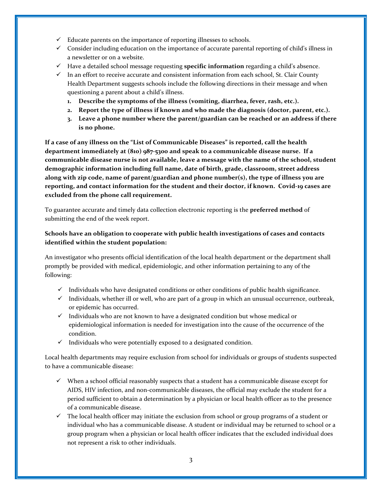- $\checkmark$  Educate parents on the importance of reporting illnesses to schools.
- $\checkmark$  Consider including education on the importance of accurate parental reporting of child's illness in a newsletter or on a website.
- $\checkmark$  Have a detailed school message requesting specific information regarding a child's absence.
- $\checkmark$  In an effort to receive accurate and consistent information from each school, St. Clair County Health Department suggests schools include the following directions in their message and when questioning a parent about a child's illness.
	- 1. Describe the symptoms of the illness (vomiting, diarrhea, fever, rash, etc.).
	- 2. Report the type of illness if known and who made the diagnosis (doctor, parent, etc.).
	- 3. Leave a phone number where the parent/guardian can be reached or an address if there is no phone.

If a case of any illness on the "List of Communicable Diseases" is reported, call the health department immediately at (810) 987-5300 and speak to a communicable disease nurse. If a communicable disease nurse is not available, leave a message with the name of the school, student demographic information including full name, date of birth, grade, classroom, street address along with zip code, name of parent/guardian and phone number(s), the type of illness you are reporting, and contact information for the student and their doctor, if known. Covid-19 cases are excluded from the phone call requirement.

To guarantee accurate and timely data collection electronic reporting is the **preferred method** of submitting the end of the week report.

## Schools have an obligation to cooperate with public health investigations of cases and contacts identified within the student population:

An investigator who presents official identification of the local health department or the department shall promptly be provided with medical, epidemiologic, and other information pertaining to any of the following:

- $\checkmark$  Individuals who have designated conditions or other conditions of public health significance.
- $\checkmark$  Individuals, whether ill or well, who are part of a group in which an unusual occurrence, outbreak, or epidemic has occurred.
- $\checkmark$  Individuals who are not known to have a designated condition but whose medical or epidemiological information is needed for investigation into the cause of the occurrence of the condition.
- $\checkmark$  Individuals who were potentially exposed to a designated condition.

Local health departments may require exclusion from school for individuals or groups of students suspected to have a communicable disease:

- $\checkmark$  When a school official reasonably suspects that a student has a communicable disease except for AIDS, HIV infection, and non-communicable diseases, the official may exclude the student for a period sufficient to obtain a determination by a physician or local health officer as to the presence of a communicable disease.
- $\checkmark$  The local health officer may initiate the exclusion from school or group programs of a student or individual who has a communicable disease. A student or individual may be returned to school or a group program when a physician or local health officer indicates that the excluded individual does not represent a risk to other individuals.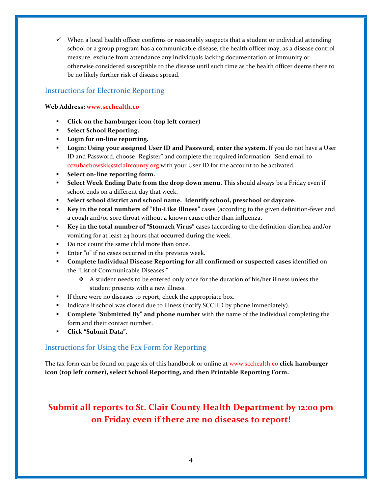$\checkmark$  When a local health officer confirms or reasonably suspects that a student or individual attending school or a group program has a communicable disease, the health officer may, as a disease control measure, exclude from attendance any individuals lacking documentation of immunity or otherwise considered susceptible to the disease until such time as the health officer deems there to be no likely further risk of disease spread.

## Instructions for Electronic Reporting

Web Address: www.scchealth.co

- -Click on the hamburger icon (top left corner)
- -Select School Reporting.
- Login for on-line reporting.
- " Login: Using your assigned User ID and Password, enter the system. If you do not have a User ID and Password, choose "Register" and complete the required information. Send email to cczubachowski@stclaircounty.org with your User ID for the account to be activated.
- -Select on-line reporting form.
- - Select Week Ending Date from the drop down menu. This should always be a Friday even if school ends on a different day that week.
- Select school district and school name. Identify school, preschool or daycare.
- - Key in the total numbers of "Flu-Like Illness" cases (according to the given definition-fever and a cough and/or sore throat without a known cause other than influenza.
- - Key in the total number of "Stomach Virus" cases (according to the definition-diarrhea and/or vomiting for at least 24 hours that occurred during the week.
- Do not count the same child more than once.
- -Enter "0" if no cases occurred in the previous week.
- **Complete Individual Disease Reporting for all confirmed or suspected cases** identified on the "List of Communicable Diseases."
	- $\triangle$  A student needs to be entered only once for the duration of his/her illness unless the student presents with a new illness.
- If there were no diseases to report, check the appropriate box.
- -Indicate if school was closed due to illness (notify SCCHD by phone immediately).
- - Complete "Submitted By" and phone number with the name of the individual completing the form and their contact number.
- -Click "Submit Data".

## Instructions for Using the Fax Form for Reporting

The fax form can be found on page six of this handbook or online at www.scchealth.co click hamburger icon (top left corner), select School Reporting, and then Printable Reporting Form.

# Submit all reports to St. Clair County Health Department by 12:00 pm on Friday even if there are no diseases to report!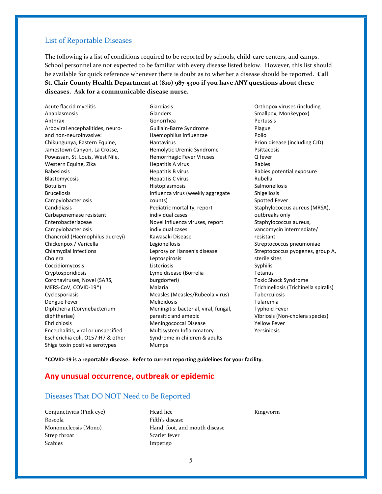#### List of Reportable Diseases

The following is a list of conditions required to be reported by schools, child-care centers, and camps. School personnel are not expected to be familiar with every disease listed below. However, this list should be available for quick reference whenever there is doubt as to whether a disease should be reported. **Call** St. Clair County Health Department at (810) 987-5300 if you have ANY questions about these diseases. Ask for a communicable disease nurse.

Acute flaccid myelitis Anaplasmosis Anthrax Arboviral encephalitides, neuroand non-neuroinvasive: Chikungunya, Eastern Equine, Jamestown Canyon, La Crosse, Powassan, St. Louis, West Nile, Western Equine, Zika Babesiosis Blastomycosis Botulism Brucellosis Campylobacteriosis Candidiasis Carbapenemase resistant Enterobacteriaceae Campylobacteriosis Chancroid (Haemophilus ducreyi) Chickenpox / Varicella Chlamydial infections Cholera Coccidiomycosis Cryptosporidiosis Coronaviruses, Novel (SARS, MERS-CoV, COVID-19\*) Cyclosporiasis Dengue Fever Diphtheria (Corynebacterium diphtheriae) Ehrlichiosis Encephalitis, viral or unspecified Escherichia coli, O157:H7 & other Shiga toxin positive serotypes

Giardiasis **Glanders** Gonorrhea Guillain-Barre Syndrome Haemophilus influenzae Hantavirus Hemolytic Uremic Syndrome Hemorrhagic Fever Viruses Hepatitis A virus Hepatitis B virus Hepatitis C virus Histoplasmosis Influenza virus (weekly aggregate counts) Pediatric mortality, report individual cases Novel influenza viruses, report individual cases Kawasaki Disease Legionellosis Leprosy or Hansen's disease Leptospirosis Listeriosis Lyme disease (Borrelia burgdorferi) Malaria Measles (Measles/Rubeola virus) Melioidosis Meningitis: bacterial, viral, fungal, parasitic and amebic Meningococcal Disease Multisystem Inflammatory Syndrome in children & adults Mumps

Orthopox viruses (including Smallpox, Monkeypox) Pertussis Plague Polio Prion disease (including CJD) Psittacosis Q fever Rabies Rabies potential exposure Rubella Salmonellosis Shigellosis Spotted Fever Staphylococcus aureus (MRSA), outbreaks only Staphylococcus aureus, vancomycin intermediate/ resistant Streptococcus pneumoniae Streptococcus pyogenes, group A, sterile sites Syphilis Tetanus Toxic Shock Syndrome Trichinellosis (Trichinella spiralis) Tuberculosis Tularemia Typhoid Fever Vibriosis (Non-cholera species) Yellow Fever Yersiniosis

\*COVID-19 is a reportable disease. Refer to current reporting guidelines for your facility.

### Any unusual occurrence, outbreak or epidemic

## Diseases That DO NOT Need to Be Reported

Conjunctivitis (Pink eye) Roseola Mononucleosis (Mono) Strep throat Scabies

Head lice Fifth's disease Hand, foot, and mouth disease Scarlet fever Impetigo

Ringworm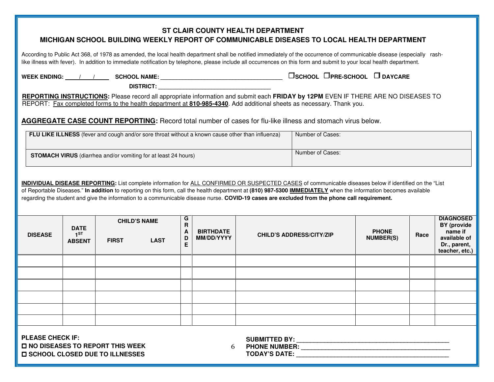## **ST CLAIR COUNTY HEALTH DEPARTMENT MICHIGAN SCHOOL BUILDING WEEKLY REPORT OF COMMUNICABLE DISEASES TO LOCAL HEALTH DEPARTMENT**

According to Public Act 368, of 1978 as amended, the local health department shall be notified immediately of the occurrence of communicable disease (especially rashlike illness with fever). In addition to immediate notification by telephone, please include all occurrences on this form and submit to your local health department.

 **WEEK ENDING: / / SCHOOL NAME: \_\_\_\_\_\_\_\_\_\_\_\_\_\_\_\_\_\_\_\_\_\_\_\_\_\_\_\_\_\_\_\_\_\_\_\_\_\_\_ SCHOOL PRE-SCHOOL DAYCARE** 

DISTRICT:

**REPORTING INSTRUCTIONS:** Please record all appropriate information and submit each **FRIDAY by 12PM** EVEN IF THERE ARE NO DISEASES TO REPORT: Fax completed forms to the health department at **810-985-4340**. Add additional sheets as necessary. Thank you.

## **AGGREGATE CASE COUNT REPORTING:** Record total number of cases for flu-like illness and stomach virus below.

| <b>FLU LIKE ILLNESS</b> (fever and cough and/or sore throat without a known cause other than influenza) | Number of Cases: |
|---------------------------------------------------------------------------------------------------------|------------------|
| <b>STOMACH VIRUS</b> (diarrhea and/or vomiting for at least 24 hours)                                   | Number of Cases: |

**INDIVIDUAL DISEASE REPORTING:** List complete information for ALL CONFIRMED OR SUSPECTED CASES of communicable diseases below if identified on the "List of Reportable Diseases." **In addition** to reporting on this form, call the health department at **(810) 987-5300 IMMEDIATELY** when the information becomes available regarding the student and give the information to a communicable disease nurse. **COVID-19 cases are excluded from the phone call requirement.** 

| <b>DISEASE</b> | <b>DATE</b><br>1 <sub>ST</sub><br><b>ABSENT</b> | <b>FIRST</b> | <b>CHILD'S NAME</b><br><b>LAST</b> | G<br>$\mathbf R$<br>$\mathbf{A}$<br>D<br>E | <b>BIRTHDATE</b><br>MM/DD/YYYY | <b>CHILD'S ADDRESS/CITY/ZIP</b> | <b>PHONE</b><br><b>NUMBER(S)</b> | Race | <b>DIAGNOSED</b><br>BY (provide<br>name if<br>available of<br>Dr., parent,<br>teacher, etc.) |
|----------------|-------------------------------------------------|--------------|------------------------------------|--------------------------------------------|--------------------------------|---------------------------------|----------------------------------|------|----------------------------------------------------------------------------------------------|
|                |                                                 |              |                                    |                                            |                                |                                 |                                  |      |                                                                                              |
|                |                                                 |              |                                    |                                            |                                |                                 |                                  |      |                                                                                              |
|                |                                                 |              |                                    |                                            |                                |                                 |                                  |      |                                                                                              |
|                |                                                 |              |                                    |                                            |                                |                                 |                                  |      |                                                                                              |
|                |                                                 |              |                                    |                                            |                                |                                 |                                  |      |                                                                                              |
|                |                                                 |              |                                    |                                            |                                |                                 |                                  |      |                                                                                              |

**PLEASE CHECK IF: NO DISEASES TO REPORT THIS WEEK SCHOOL CLOSED DUE TO ILLNESSES** 

**SUBMITTED BY: \_\_\_\_\_\_\_\_\_\_\_\_\_\_\_\_\_\_\_\_\_\_\_\_\_\_\_\_\_\_\_\_\_\_\_\_\_\_\_\_\_\_\_\_**

6 **PHONE NUMBER: \_\_\_\_\_\_\_\_\_\_\_\_\_\_\_\_\_\_\_\_\_\_\_\_\_\_\_\_\_\_\_\_\_\_\_\_\_\_\_\_\_\_\_** 

**TODAY'S DATE: \_\_\_\_\_\_\_\_\_\_\_\_\_\_\_\_\_\_\_\_\_\_\_\_\_\_\_\_\_\_\_\_\_\_\_\_\_\_\_\_\_\_\_\_**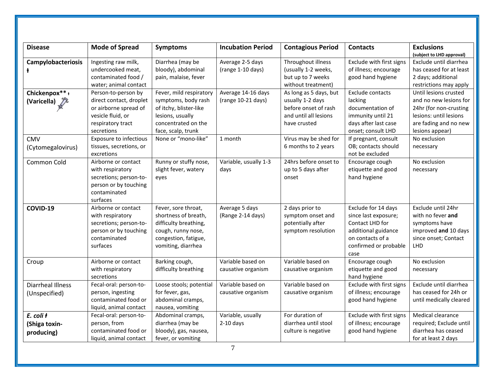| <b>Disease</b>                             | <b>Mode of Spread</b>                                                                                                           | <b>Symptoms</b>                                                                                                                           | <b>Incubation Period</b>                 | <b>Contagious Period</b>                                                                                    | <b>Contacts</b>                                                                                                                            | <b>Exclusions</b><br>(subject to LHD approval)                                                                                                  |
|--------------------------------------------|---------------------------------------------------------------------------------------------------------------------------------|-------------------------------------------------------------------------------------------------------------------------------------------|------------------------------------------|-------------------------------------------------------------------------------------------------------------|--------------------------------------------------------------------------------------------------------------------------------------------|-------------------------------------------------------------------------------------------------------------------------------------------------|
| <b>Campylobacteriosis</b><br>ŧ             | Ingesting raw milk,<br>undercooked meat,<br>contaminated food /<br>water; animal contact                                        | Diarrhea (may be<br>bloody), abdominal<br>pain, malaise, fever                                                                            | Average 2-5 days<br>(range 1-10 days)    | Throughout illness<br>(usually 1-2 weeks,<br>but up to 7 weeks<br>without treatment)                        | Exclude with first signs<br>of illness; encourage<br>good hand hygiene                                                                     | Exclude until diarrhea<br>has ceased for at least<br>2 days; additional<br>restrictions may apply                                               |
| Chickenpox**+<br>(Varicella) $\sqrt[3]{6}$ | Person-to-person by<br>direct contact, droplet<br>or airborne spread of<br>vesicle fluid, or<br>respiratory tract<br>secretions | Fever, mild respiratory<br>symptoms, body rash<br>of itchy, blister-like<br>lesions, usually<br>concentrated on the<br>face, scalp, trunk | Average 14-16 days<br>(range 10-21 days) | As long as 5 days, but<br>usually 1-2 days<br>before onset of rash<br>and until all lesions<br>have crusted | Exclude contacts<br>lacking<br>documentation of<br>immunity until 21<br>days after last case<br>onset; consult LHD                         | Until lesions crusted<br>and no new lesions for<br>24hr (for non-crusting<br>lesions: until lesions<br>are fading and no new<br>lesions appear) |
| <b>CMV</b><br>(Cytomegalovirus)            | <b>Exposure to infectious</b><br>tissues, secretions, or<br>excretions                                                          | None or "mono-like"                                                                                                                       | 1 month                                  | Virus may be shed for<br>6 months to 2 years                                                                | If pregnant, consult<br>OB; contacts should<br>not be excluded                                                                             | No exclusion<br>necessary                                                                                                                       |
| Common Cold                                | Airborne or contact<br>with respiratory<br>secretions; person-to-<br>person or by touching<br>contaminated<br>surfaces          | Runny or stuffy nose,<br>slight fever, watery<br>eyes                                                                                     | Variable, usually 1-3<br>days            | 24hrs before onset to<br>up to 5 days after<br>onset                                                        | Encourage cough<br>etiquette and good<br>hand hygiene                                                                                      | No exclusion<br>necessary                                                                                                                       |
| COVID-19                                   | Airborne or contact<br>with respiratory<br>secretions; person-to-<br>person or by touching<br>contaminated<br>surfaces          | Fever, sore throat,<br>shortness of breath,<br>difficulty breathing,<br>cough, runny nose,<br>congestion, fatigue,<br>vomiting, diarrhea  | Average 5 days<br>(Range 2-14 days)      | 2 days prior to<br>symptom onset and<br>potentially after<br>symptom resolution                             | Exclude for 14 days<br>since last exposure;<br>Contact LHD for<br>additional guidance<br>on contacts of a<br>confirmed or probable<br>case | Exclude until 24hr<br>with no fever and<br>symptoms have<br>improved and 10 days<br>since onset; Contact<br><b>LHD</b>                          |
| Croup                                      | Airborne or contact<br>with respiratory<br>secretions                                                                           | Barking cough,<br>difficulty breathing                                                                                                    | Variable based on<br>causative organism  | Variable based on<br>causative organism                                                                     | Encourage cough<br>etiquette and good<br>hand hygiene                                                                                      | No exclusion<br>necessary                                                                                                                       |
| <b>Diarrheal Illness</b><br>(Unspecified)  | Fecal-oral: person-to-<br>person, ingesting<br>contaminated food or<br>liquid, animal contact                                   | Loose stools; potential<br>for fever, gas,<br>abdominal cramps,<br>nausea, vomiting                                                       | Variable based on<br>causative organism  | Variable based on<br>causative organism                                                                     | Exclude with first signs<br>of illness; encourage<br>good hand hygiene                                                                     | Exclude until diarrhea<br>has ceased for 24h or<br>until medically cleared                                                                      |
| E. coli ł<br>(Shiga toxin-<br>producing)   | Fecal-oral: person-to-<br>person, from<br>contaminated food or<br>liquid, animal contact                                        | Abdominal cramps,<br>diarrhea (may be<br>bloody), gas, nausea,<br>fever, or vomiting                                                      | Variable, usually<br>$2-10$ days         | For duration of<br>diarrhea until stool<br>culture is negative                                              | Exclude with first signs<br>of illness; encourage<br>good hand hygiene                                                                     | Medical clearance<br>required; Exclude until<br>diarrhea has ceased<br>for at least 2 days                                                      |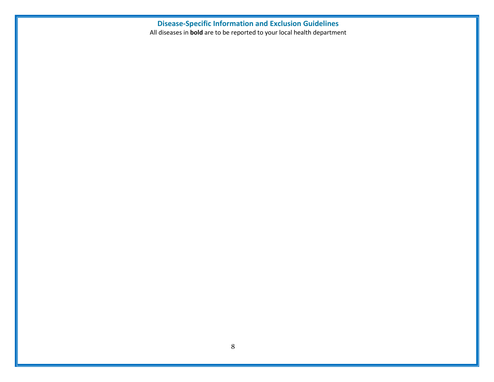# Disease-Specific Information and Exclusion Guidelines

All diseases in **bold** are to be reported to your local health department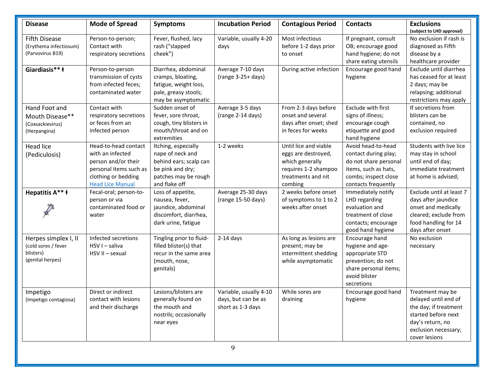| <b>Disease</b>                                                               | <b>Mode of Spread</b>                                                                                                                       | <b>Symptoms</b>                                                                                                                | <b>Incubation Period</b>                                           | <b>Contagious Period</b>                                                                                                 | <b>Contacts</b>                                                                                                                            | <b>Exclusions</b><br>(subject to LHD approval)                                                                                                        |
|------------------------------------------------------------------------------|---------------------------------------------------------------------------------------------------------------------------------------------|--------------------------------------------------------------------------------------------------------------------------------|--------------------------------------------------------------------|--------------------------------------------------------------------------------------------------------------------------|--------------------------------------------------------------------------------------------------------------------------------------------|-------------------------------------------------------------------------------------------------------------------------------------------------------|
| <b>Fifth Disease</b><br>(Erythema infectiosum)<br>(Parvovirus B19)           | Person-to-person;<br>Contact with<br>respiratory secretions                                                                                 | Fever, flushed, lacy<br>rash ("slapped<br>cheek")                                                                              | Variable, usually 4-20<br>days                                     | Most infectious<br>before 1-2 days prior<br>to onset                                                                     | If pregnant, consult<br>OB; encourage good<br>hand hygiene; do not<br>share eating utensils                                                | No exclusion if rash is<br>diagnosed as Fifth<br>disease by a<br>healthcare provider                                                                  |
| Giardiasis** <b>t</b>                                                        | Person-to-person<br>transmission of cysts<br>from infected feces;<br>contaminated water                                                     | Diarrhea, abdominal<br>cramps, bloating,<br>fatigue, weight loss,<br>pale, greasy stools;<br>may be asymptomatic               | Average 7-10 days<br>(range 3-25+ days)                            | During active infection                                                                                                  | Encourage good hand<br>hygiene                                                                                                             | Exclude until diarrhea<br>has ceased for at least<br>2 days; may be<br>relapsing; additional<br>restrictions may apply                                |
| Hand Foot and<br>Mouth Disease**<br>(Coxsackievirus)<br>(Herpangina)         | Contact with<br>respiratory secretions<br>or feces from an<br>infected person                                                               | Sudden onset of<br>fever, sore throat,<br>cough, tiny blisters in<br>mouth/throat and on<br>extremities                        | Average 3-5 days<br>(range 2-14 days)                              | From 2-3 days before<br>onset and several<br>days after onset; shed<br>in feces for weeks                                | Exclude with first<br>signs of illness;<br>encourage cough<br>etiquette and good<br>hand hygiene                                           | If secretions from<br>blisters can be<br>contained, no<br>exclusion required                                                                          |
| <b>Head lice</b><br>(Pediculosis)                                            | Head-to-head contact<br>with an infected<br>person and/or their<br>personal items such as<br>clothing or bedding<br><b>Head Lice Manual</b> | Itching, especially<br>nape of neck and<br>behind ears; scalp can<br>be pink and dry;<br>patches may be rough<br>and flake off | 1-2 weeks                                                          | Until lice and viable<br>eggs are destroyed,<br>which generally<br>requires 1-2 shampoo<br>treatments and nit<br>combing | Avoid head-to-head<br>contact during play;<br>do not share personal<br>items, such as hats,<br>combs; inspect close<br>contacts frequently | Students with live lice<br>may stay in school<br>until end of day;<br>immediate treatment<br>at home is advised;                                      |
| Hepatitis A** ł                                                              | Fecal-oral; person-to-<br>person or via<br>contaminated food or<br>water                                                                    | Loss of appetite,<br>nausea, fever,<br>jaundice, abdominal<br>discomfort, diarrhea,<br>dark urine, fatigue                     | Average 25-30 days<br>(range 15-50 days)                           | 2 weeks before onset<br>of symptoms to 1 to 2<br>weeks after onset                                                       | Immediately notify<br>LHD regarding<br>evaluation and<br>treatment of close<br>contacts; encourage<br>good hand hygiene                    | Exclude until at least 7<br>days after jaundice<br>onset and medically<br>cleared; exclude from<br>food handling for 14<br>days after onset           |
| Herpes simplex I, II<br>(cold sores / fever<br>blisters)<br>(genital herpes) | Infected secretions<br>HSV I - saliva<br>HSV II - sexual                                                                                    | Tingling prior to fluid-<br>filled blister(s) that<br>recur in the same area<br>(mouth, nose,<br>genitals)                     | $2-14$ days                                                        | As long as lesions are<br>present; may be<br>intermittent shedding<br>while asymptomatic                                 | Encourage hand<br>hygiene and age-<br>appropriate STD<br>prevention; do not<br>share personal items;<br>avoid blister<br>secretions        | No exclusion<br>necessary                                                                                                                             |
| Impetigo<br>(Impetigo contagiosa)                                            | Direct or indirect<br>contact with lesions<br>and their discharge                                                                           | Lesions/blisters are<br>generally found on<br>the mouth and<br>nostrils; occasionally<br>near eyes                             | Variable, usually 4-10<br>days, but can be as<br>short as 1-3 days | While sores are<br>draining                                                                                              | Encourage good hand<br>hygiene                                                                                                             | Treatment may be<br>delayed until end of<br>the day; if treatment<br>started before next<br>day's return, no<br>exclusion necessary;<br>cover lesions |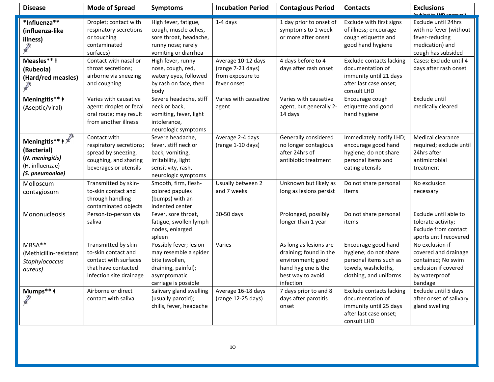| <b>Disease</b>                                                                                                      | <b>Mode of Spread</b>                                                                                                  | <b>Symptoms</b>                                                                                                                  | <b>Incubation Period</b>                                                   | <b>Contagious Period</b>                                                                                                       | <b>Contacts</b>                                                                                                         | <b>Exclusions</b><br>المتمعموم كلللمة فممتعل                                                                      |
|---------------------------------------------------------------------------------------------------------------------|------------------------------------------------------------------------------------------------------------------------|----------------------------------------------------------------------------------------------------------------------------------|----------------------------------------------------------------------------|--------------------------------------------------------------------------------------------------------------------------------|-------------------------------------------------------------------------------------------------------------------------|-------------------------------------------------------------------------------------------------------------------|
| *Influenza**<br>(influenza-like<br>illness)<br><b>Contractor</b>                                                    | Droplet; contact with<br>respiratory secretions<br>or touching<br>contaminated<br>surfaces)                            | High fever, fatigue,<br>cough, muscle aches,<br>sore throat, headache,<br>runny nose; rarely<br>vomiting or diarrhea             | $1-4$ days                                                                 | 1 day prior to onset of<br>symptoms to 1 week<br>or more after onset                                                           | Exclude with first signs<br>of illness; encourage<br>cough etiquette and<br>good hand hygiene                           | Exclude until 24hrs<br>with no fever (without<br>fever-reducing<br>medication) and<br>cough has subsided          |
| Measles** <b>t</b><br>(Rubeola)<br>(Hard/red measles)                                                               | Contact with nasal or<br>throat secretions;<br>airborne via sneezing<br>and coughing                                   | High fever, runny<br>nose, cough, red,<br>watery eyes, followed<br>by rash on face, then<br>body                                 | Average 10-12 days<br>(range 7-21 days)<br>from exposure to<br>fever onset | 4 days before to 4<br>days after rash onset                                                                                    | <b>Exclude contacts lacking</b><br>documentation of<br>immunity until 21 days<br>after last case onset;<br>consult LHD  | Cases: Exclude until 4<br>days after rash onset                                                                   |
| Meningitis** <b>t</b><br>(Aseptic/viral)                                                                            | Varies with causative<br>agent: droplet or fecal<br>oral route; may result<br>from another illness                     | Severe headache, stiff<br>neck or back,<br>vomiting, fever, light<br>intolerance,<br>neurologic symptoms                         | Varies with causative<br>agent                                             | Varies with causative<br>agent, but generally 2-<br>14 days                                                                    | Encourage cough<br>etiquette and good<br>hand hygiene                                                                   | Exclude until<br>medically cleared                                                                                |
| Meningitis** $\mathbf{t} \times \mathbf{t}$<br>(Bacterial)<br>(N. meningitis)<br>(H. influenzae)<br>(S. pneumoniae) | Contact with<br>respiratory secretions;<br>spread by sneezing,<br>coughing, and sharing<br>beverages or utensils       | Severe headache,<br>fever, stiff neck or<br>back, vomiting,<br>irritability, light<br>sensitivity, rash,<br>neurologic symptoms  | Average 2-4 days<br>(range 1-10 days)                                      | Generally considered<br>no longer contagious<br>after 24hrs of<br>antibiotic treatment                                         | Immediately notify LHD;<br>encourage good hand<br>hygiene; do not share<br>personal items and<br>eating utensils        | Medical clearance<br>required; exclude until<br>24hrs after<br>antimicrobial<br>treatment                         |
| Molloscum<br>contagiosum                                                                                            | Transmitted by skin-<br>to-skin contact and<br>through handling<br>contaminated objects                                | Smooth, firm, flesh-<br>colored papules<br>(bumps) with an<br>indented center                                                    | Usually between 2<br>and 7 weeks                                           | Unknown but likely as<br>long as lesions persist                                                                               | Do not share personal<br>items                                                                                          | No exclusion<br>necessary                                                                                         |
| Mononucleosis                                                                                                       | Person-to-person via<br>saliva                                                                                         | Fever, sore throat,<br>fatigue, swollen lymph<br>nodes, enlarged<br>spleen                                                       | 30-50 days                                                                 | Prolonged, possibly<br>longer than 1 year                                                                                      | Do not share personal<br>items                                                                                          | Exclude until able to<br>tolerate activity;<br>Exclude from contact<br>sports until recovered                     |
| MRSA**<br>(Methicillin-resistant<br>Staphylococcus<br>aureus)                                                       | Transmitted by skin-<br>to-skin contact and<br>contact with surfaces<br>that have contacted<br>infection site drainage | Possibly fever; lesion<br>may resemble a spider<br>bite (swollen,<br>draining, painful);<br>asymptomatic<br>carriage is possible | Varies                                                                     | As long as lesions are<br>draining; found in the<br>environment; good<br>hand hygiene is the<br>best way to avoid<br>infection | Encourage good hand<br>hygiene; do not share<br>personal items such as<br>towels, washcloths,<br>clothing, and uniforms | No exclusion if<br>covered and drainage<br>contained; No swim<br>exclusion if covered<br>by waterproof<br>bandage |
| Mumps** <b>t</b><br><b>REVIEW</b>                                                                                   | Airborne or direct<br>contact with saliva                                                                              | Salivary gland swelling<br>(usually parotid);<br>chills, fever, headache                                                         | Average 16-18 days<br>(range 12-25 days)                                   | 7 days prior to and 8<br>days after parotitis<br>onset                                                                         | <b>Exclude contacts lacking</b><br>documentation of<br>immunity until 25 days<br>after last case onset;<br>consult LHD  | Exclude until 5 days<br>after onset of salivary<br>gland swelling                                                 |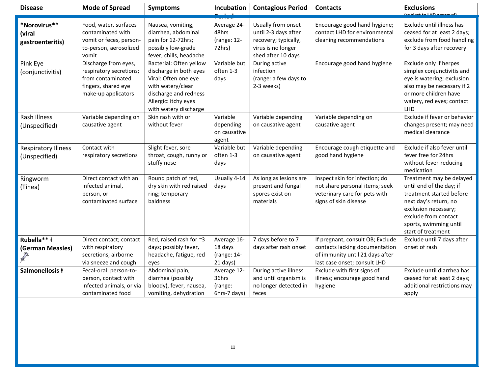| <b>Disease</b>                              | <b>Mode of Spread</b>                                                                                              | <b>Symptoms</b>                                                                                                                                                          | Incubation                                        | <b>Contagious Period</b>                                                                                       | <b>Contacts</b>                                                                                                                       | <b>Exclusions</b><br><u>tubiost to LUD anneouall</u>                                                                                                                                                      |
|---------------------------------------------|--------------------------------------------------------------------------------------------------------------------|--------------------------------------------------------------------------------------------------------------------------------------------------------------------------|---------------------------------------------------|----------------------------------------------------------------------------------------------------------------|---------------------------------------------------------------------------------------------------------------------------------------|-----------------------------------------------------------------------------------------------------------------------------------------------------------------------------------------------------------|
|                                             |                                                                                                                    |                                                                                                                                                                          |                                                   |                                                                                                                |                                                                                                                                       |                                                                                                                                                                                                           |
| *Norovirus**<br>(viral<br>gastroenteritis)  | Food, water, surfaces<br>contaminated with<br>vomit or feces, person-<br>to-person, aerosolized<br>vomit           | Nausea, vomiting,<br>diarrhea, abdominal<br>pain for 12-72hrs;<br>possibly low-grade<br>fever, chills, headache                                                          | Average 24-<br>48hrs<br>(range: 12-<br>72hrs)     | Usually from onset<br>until 2-3 days after<br>recovery; typically,<br>virus is no longer<br>shed after 10 days | Encourage good hand hygiene;<br>contact LHD for environmental<br>cleaning recommendations                                             | Exclude until illness has<br>ceased for at least 2 days;<br>exclude from food handling<br>for 3 days after recovery                                                                                       |
| Pink Eye<br>(conjunctivitis)                | Discharge from eyes,<br>respiratory secretions;<br>from contaminated<br>fingers, shared eye<br>make-up applicators | Bacterial: Often yellow<br>discharge in both eyes<br>Viral: Often one eye<br>with watery/clear<br>discharge and redness<br>Allergic: itchy eyes<br>with watery discharge | Variable but<br>often 1-3<br>days                 | During active<br>infection<br>(range: a few days to<br>2-3 weeks)                                              | Encourage good hand hygiene                                                                                                           | Exclude only if herpes<br>simplex conjunctivitis and<br>eye is watering; exclusion<br>also may be necessary if 2<br>or more children have<br>watery, red eyes; contact<br>LHD                             |
| Rash Illness<br>(Unspecified)               | Variable depending on<br>causative agent                                                                           | Skin rash with or<br>without fever                                                                                                                                       | Variable<br>depending<br>on causative<br>agent    | Variable depending<br>on causative agent                                                                       | Variable depending on<br>causative agent                                                                                              | Exclude if fever or behavior<br>changes present; may need<br>medical clearance                                                                                                                            |
| <b>Respiratory Illness</b><br>(Unspecified) | Contact with<br>respiratory secretions                                                                             | Slight fever, sore<br>throat, cough, runny or<br>stuffy nose                                                                                                             | Variable but<br>often 1-3<br>days                 | Variable depending<br>on causative agent                                                                       | Encourage cough etiquette and<br>good hand hygiene                                                                                    | Exclude if also fever until<br>fever free for 24hrs<br>without fever-reducing<br>medication                                                                                                               |
| Ringworm<br>(Tinea)                         | Direct contact with an<br>infected animal,<br>person, or<br>contaminated surface                                   | Round patch of red,<br>dry skin with red raised<br>ring; temporary<br>baldness                                                                                           | Usually 4-14<br>days                              | As long as lesions are<br>present and fungal<br>spores exist on<br>materials                                   | Inspect skin for infection; do<br>not share personal items; seek<br>veterinary care for pets with<br>signs of skin disease            | Treatment may be delayed<br>until end of the day; if<br>treatment started before<br>next day's return, no<br>exclusion necessary;<br>exclude from contact<br>sports, swimming until<br>start of treatment |
| Rubella** <b>t</b><br>(German Measles)      | Direct contact; contact<br>with respiratory<br>secretions; airborne<br>via sneeze and cough                        | Red, raised rash for ~3<br>days; possibly fever,<br>headache, fatigue, red<br>eyes                                                                                       | Average 16-<br>18 days<br>(range: 14-<br>21 days) | 7 days before to 7<br>days after rash onset                                                                    | If pregnant, consult OB; Exclude<br>contacts lacking documentation<br>of immunity until 21 days after<br>last case onset; consult LHD | Exclude until 7 days after<br>onset of rash                                                                                                                                                               |
| Salmonellosis ł                             | Fecal-oral: person-to-<br>person, contact with<br>infected animals, or via<br>contaminated food                    | Abdominal pain,<br>diarrhea (possibly<br>bloody), fever, nausea,<br>vomiting, dehydration                                                                                | Average 12-<br>36hrs<br>(range:<br>6hrs-7 days)   | During active illness<br>and until organism is<br>no longer detected in<br>feces                               | Exclude with first signs of<br>illness; encourage good hand<br>hygiene                                                                | Exclude until diarrhea has<br>ceased for at least 2 days;<br>additional restrictions may<br>apply                                                                                                         |